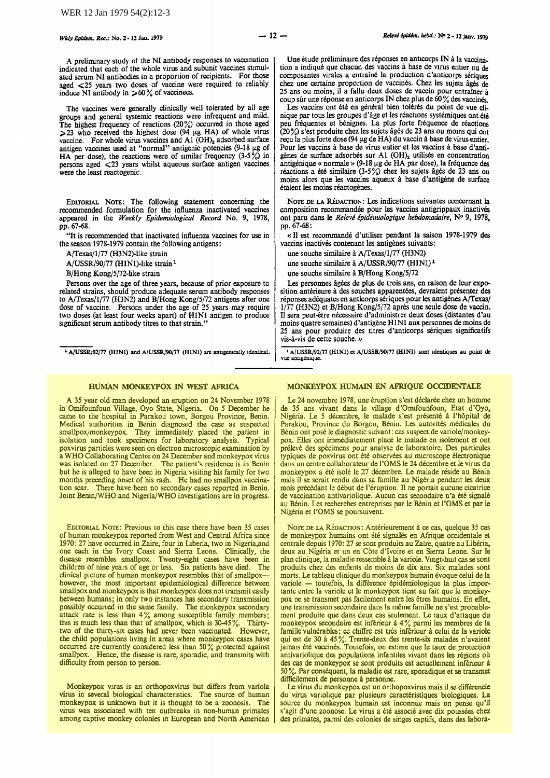A preliminary study ot the Nl antibody responses to vaccmation indicated that each of the whole virus and subunit vaccines stimulated serum Nl antibodies in a proportion of recipients. For those aged <25 years two doses of vaccine were required to reliably induce NI antibody in  $> 60\%$  of vaccinees.

The vaccines were generally clinically well tolerated by all age groups and general systemic reactions were infrequent and mild. The highest frequency of reactions (20%) occurred in those aged  $>$ 23 who received the highest dose (94  $\mu$ g HA) of whole virus vaccine. For whole virus vaccines and A1  $(OH)$ <sub>3</sub> adsorbed surface antigen vaccines used at "normal" antigenic potencies  $(9-18 \mu g)$  of HA per dose), the reactions were of similar frequency  $(3-5\%)$  in persons aged <23 years whilst aqueous surface antigen vaccines were the least reactogenic.

EDITORIAL NOTE: The following statement concerning the recommended formulation for the influenza inactivated vaccines appeared in the *Weekly Epidemiological Record* No. 9, 1978, pp. 67-68.

"It is recommended that inactivated influenza vaccines for use in the season 1978-1979 contain the following antigens:

A/Texas/1/77 (H3N2)-like strain

A/USSR/90/77 (H1N1)-like strain<sup>1</sup>

B/Hong Kong/5/72-like strain

Persons over the age of three years, because of prior exposure to related strains, should produce adequate serum antibody responses to A/Texas/1/77 (H3N2) and B/Hong Kong/5/72 antigens after one dose of vaccine. Persons under the age of 25 years may require two doses (at least four weeks apart) of HINI antigen to produce significant serum antibody titres to that strain.'

<sup>1</sup>A/USSRI92/77 (HlNl) and A/USSR/90/77 (HlNI) are anugcmcally identical.

Une étude préliminaire des réponses en anticorps IN à la vaccination a indiqué que chacun des vaccins à base de virus entier ou de composantes virales a entraîné la production d'anticorps sériques chez une certaine proportion de vaccines. Chez les sujets ages de 25 ans ou mains, il a fallu deux doses de vaccin pour entrainer a coup sur une réponse en anticorps IN chez plus de 60 % des vaccinés.

Les vaccins ont été en général bien tolérés du point de vue clinique par tous les groupes d'âge et les réactions systémiques ont été peu fréquentes et bénignes. La plus forte fréquence de réactions (20%) s'est produite chez les sujets âgés de 23 ans ou moins qui ont  $r_{\rm{e}$ u la plus forte dose (94  $\mu$ g de HA) du vaccin à base de virus entier. Pour les vaccins à base de virus entier et les vaccins à base d'antigènes de surface adsorbés sur A1 (OH)<sub>s</sub> utilisés en concentration antigénique « normale » (9-18  $\mu$ g de HA par dose), la fréquence des réactions a été similaire (3-5%) chez les sujets âgés de 23 ans ou mains alors que les vaccins aqueux a base d'antigene de surface étaient les moins réactogènes.

NOTE DE LA RÉDACTION: Les indications suivantes concernant la composition recomrnandee pour les vaccins antigrippaux inactives ant paru dans le *Releve epidemiologique hebdomadaire,* N° 9, 1978, pp. 67-68:

«II est recommande d'utiliser pendant Ia saison 1978-1979 des vaccins inactivés contenant les antigènes suivants:

une souche similaire à A/Texas/1/77 (H3N2)

une souche similaire à A/USSR/90/77 (H1N1)<sup>1</sup>

une souche similaire à B/Hong Kong/5/72

Les personnes âgées de plus de trois ans, en raison de leur exposition antérieure à des souches apparentées, devraient présenter des réponses adéquates en anticorps sériques pour les antigènes A/Texas/ 1/77 (H3N2) et B/Hong Kong/5/72 apres une seule dose de vaccin. Il sera peut-être nécessaire d'administrer deux doses (distantes d'au moins quatre semaines) d'antigène H1N1 aux personnes de moins de 25 ans pour produire des titres d'anticorps seriques significatifs vis-a-vis de cette souche. »

<sup>1</sup>A/USSR/92/77 (H1N1) et A/USSR/90/77 (H1N1) sont identiques au point de vue antigénique

### HUMAN MONKEYPOX IN WEST AFRICA

A 35 year old man developed an eruption on 24 November 1978 in Omifounfoun Village, Oyo State, Nigeria. On *<sup>5</sup>*December he came to the hospital in Parakou town, Borgou Province, Benin. Medical authorities in Benin diagnosed the case as suspected smallpox/monkeypox. They immediately placed the patient in isolation and took specimens for laboratory analysis. Typical poxvirus particles were seen on electron nucroscopic examination by a WHO Collaborating Centre on 24 December and monkeypox virus was isolated on 27 December. The patient's residence is in Benin but he is alleged to have been in Nigeria visiting his family for two months preceding onset of his rash. He had no smallpox vaccina· tion scar. There have been no secondary cases reported in Benin. Joint Benin/WHO and Nigeria/WHO investigations are in progress.

EDITORIAL NOTE: Previous to this case there have been 35 cases of human monkeypox reported from West and Central Africa since 1970: 27 have occurred in Zaire, four in Liberia, two in Nigeria, and 1970: 27 have occurred in Zaire, four in Liberia, two in Nigeria,and one each in the Ivory Coast and Sierra Leone. Clinically, the disease resembles smallpox. Twenty-eight cases have been in children of nine years of age or less. Six patients have died. The clinical picture of human monkeypox resembles that of smallpoxhowever, the most important epidemiological difference between smallpox and monkey pox is that monkeypox does not transmit easily between humans; in only two instances has secondary transmission possibly occurred in the same family. The monkeypox secondary attack rate is less than  $4\%$  among susceptible family members; this is much less than that of smallpox, which is  $30-45\%$ . Thirtytwo of the thirty-six cases had never been vaccinated. However, the child populations hving in areas where monkeypox cases have occurred are currently considered less than 50% protected against smallpox. Hence, the disease is rare, sporadic, and transmits with difficulty from person to person.

Monkeypox virus is an orthopoxvirus but differs from variola virus in several biological characteristics. The source of human monkeypox is unknown but it is thought to be a zoonosis. The virus was associated with ten outbreaks in non-human primates among captive monkey colonies m European and North American

### MONKEYPOX HUMAIN EN AFRIQUE OCCIDENTALE

Le 24 novembre 1978, une éruption s'est déclarée chez un homme de 35 ans vivant dans le village d'Omlfounfoun, Etat d'Oyo, Nigéria. Le 5 décembre, le malade s'est présenté à l'hôpital de Parakou, Province du Borgou, Bénin. Les autorités médicales du Benin ont pose le diagnostic suivant: cas suspect de variole/monkeypox. Elles ont immédiatement placé le malade en isolement et ont preleve des specimens pour analyse de laboratoire. Des particules typiques de poxvirus ont ete observees au microscope electronique dans un centre collaborateur de I 'OMS le 24 decembre et le virus du monkeypox a été isolé le 27 décembre. Le malade réside au Bénin mais il se serait rendu dans sa famille au Nigeria pendant les deux mois précédant le début de l'éruption. Il ne portait aucune cicatrice de vaccination antivariolique. Aucun cas secondaire n'a été signalé au Benin. Les recherches entreprises par le Benin et !'OMS et par le Nigeria et !'OMS se poursuivent.

NOTE DE LA RÉDACTION: Antérieurement à ce cas, quelque 35 cas de monkeypox humains ont été signalés en Afrique occidentale et centrale depuis 1970: 27 se sont produits au Zaire, quatre au Liberia, deux au Nigeria et un en Cote d'lvoire et en Sierra Leone. Sur le plan clinique, Ia maladie ressemble a Ia variole. Vmgt-hwt cas se sont produits chez des enfants de mains de dix ans. Six malades sont morts. Le tableau clinique du monkeypox humain evoque celui de Ia variole - toutefois, la différence épidémiologique la plus importante entre la variole et le monkeypox tient au fait que le monkeypox ne se transmet pas facilement entre les etres humains. En effet, une transmission secondaire dans la même famille ne s'est probablement produite que dans deux cas seulement. Le taux d'attaque du monkeypox secondaire est inferieur a 4% parmi les membres de Ia famille vulnérables; ce chiffre est très inférieur à celui de la variole qui est de 30 a 45%. Trente-deux des trente-six malades n'avaient jamaiS ete vaccines. Toutefois, on estime que le taux de protection antivariolique des populations infantiles vivant dans les régions où des cas de monkeypox se sont produits est actuellement inférieur à *50%.* Par consequent, Ia maladie est rare, sporadique et se transmet difficilement de personne à personne.

Le virus du monkeypox est un orthopoxvirus mais il se différencie du virus variolique par plusieurs caracteristiques biologiques. La source du monkeypox humain est inconnue mais on pense qu'il s'agit d'une zoonose. Le virus a été associé avec dix poussées chez des primates, parmi des colonies de singes captifs, dans des labora-